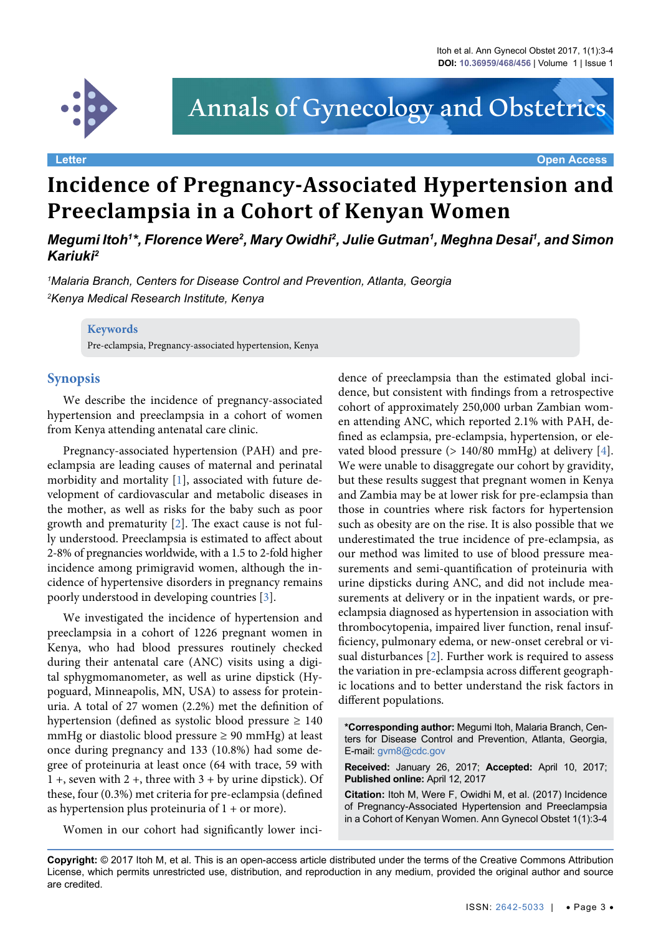

# Annals of Gynecology and Obstetrics

**Letter Open Access**

## **Incidence of Pregnancy-Associated Hypertension and Preeclampsia in a Cohort of Kenyan Women**

*Megumi Itoh'\*, Florence Were<sup>2</sup>, Mary Owidhi<sup>2</sup>, Julie Gutman<sup>1</sup>, Meghna Desai<sup>1</sup>, and Simon Kariuki2*

*1 Malaria Branch, Centers for Disease Control and Prevention, Atlanta, Georgia 2 Kenya Medical Research Institute, Kenya*

#### **Keywords**

Pre-eclampsia, Pregnancy-associated hypertension, Kenya

### **Synopsis**

We describe the incidence of pregnancy-associated hypertension and preeclampsia in a cohort of women from Kenya attending antenatal care clinic.

Pregnancy-associated hypertension (PAH) and preeclampsia are leading causes of maternal and perinatal morbidity and mortality [[1](#page-1-0)], associated with future development of cardiovascular and metabolic diseases in the mother, as well as risks for the baby such as poor growth and prematurity [[2](#page-1-1)]. The exact cause is not fully understood. Preeclampsia is estimated to affect about 2-8% of pregnancies worldwide, with a 1.5 to 2-fold higher incidence among primigravid women, although the incidence of hypertensive disorders in pregnancy remains poorly understood in developing countries [\[3\]](#page-1-2).

We investigated the incidence of hypertension and preeclampsia in a cohort of 1226 pregnant women in Kenya, who had blood pressures routinely checked during their antenatal care (ANC) visits using a digital sphygmomanometer, as well as urine dipstick (Hypoguard, Minneapolis, MN, USA) to assess for proteinuria. A total of 27 women (2.2%) met the definition of hypertension (defined as systolic blood pressure  $\geq 140$ mmHg or diastolic blood pressure  $\geq$  90 mmHg) at least once during pregnancy and 133 (10.8%) had some degree of proteinuria at least once (64 with trace, 59 with  $1 +$ , seven with  $2 +$ , three with  $3 + by$  urine dipstick). Of these, four (0.3%) met criteria for pre-eclampsia (defined as hypertension plus proteinuria of  $1 +$  or more).

Women in our cohort had significantly lower inci-

dence of preeclampsia than the estimated global incidence, but consistent with findings from a retrospective cohort of approximately 250,000 urban Zambian women attending ANC, which reported 2.1% with PAH, defined as eclampsia, pre-eclampsia, hypertension, or elevated blood pressure (> 140/80 mmHg) at delivery [\[4](#page-1-3)]. We were unable to disaggregate our cohort by gravidity, but these results suggest that pregnant women in Kenya and Zambia may be at lower risk for pre-eclampsia than those in countries where risk factors for hypertension such as obesity are on the rise. It is also possible that we underestimated the true incidence of pre-eclampsia, as our method was limited to use of blood pressure measurements and semi-quantification of proteinuria with urine dipsticks during ANC, and did not include measurements at delivery or in the inpatient wards, or preeclampsia diagnosed as hypertension in association with thrombocytopenia, impaired liver function, renal insufficiency, pulmonary edema, or new-onset cerebral or visual disturbances [[2](#page-1-1)]. Further work is required to assess the variation in pre-eclampsia across different geographic locations and to better understand the risk factors in different populations.

**\*Corresponding author:** Megumi Itoh, Malaria Branch, Centers for Disease Control and Prevention, Atlanta, Georgia, E-mail: gvm8@cdc.gov

**Received:** January 26, 2017; **Accepted:** April 10, 2017; **Published online:** April 12, 2017

**Citation:** Itoh M, Were F, Owidhi M, et al. (2017) Incidence of Pregnancy-Associated Hypertension and Preeclampsia in a Cohort of Kenyan Women. Ann Gynecol Obstet 1(1):3-4

**Copyright:** © 2017 Itoh M, et al. This is an open-access article distributed under the terms of the Creative Commons Attribution License, which permits unrestricted use, distribution, and reproduction in any medium, provided the original author and source are credited.